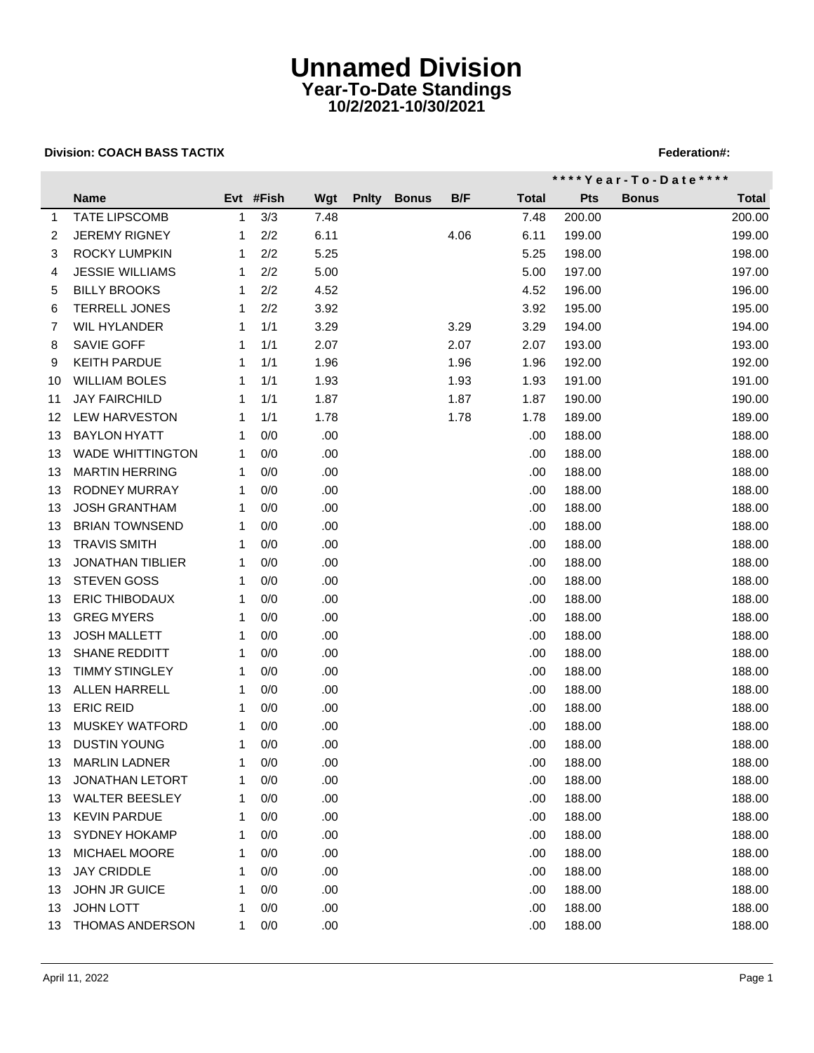## **Unnamed Division Year-To-Date Standings 10/2/2021-10/30/2021**

### **Division: COACH BASS TACTIX FEDERATION: A SEX PROPERTY AND THE SEX PROPERTY REPORT OF STATISTIC PROPERTY AND THE SEX PROPERTY ASSAULT AND THE SEX PROPERTY AND THE SEX PROPERTY ASSAULT ASSAULT AND THE SEX PROPERTY ASSAULT**

|    |                         |    |           |      |              |              |      | **** Year - To - Date **** |            |              |              |
|----|-------------------------|----|-----------|------|--------------|--------------|------|----------------------------|------------|--------------|--------------|
|    | <b>Name</b>             |    | Evt #Fish | Wgt  | <b>Pnity</b> | <b>Bonus</b> | B/F  | <b>Total</b>               | <b>Pts</b> | <b>Bonus</b> | <b>Total</b> |
| 1  | <b>TATE LIPSCOMB</b>    | 1  | 3/3       | 7.48 |              |              |      | 7.48                       | 200.00     |              | 200.00       |
| 2  | <b>JEREMY RIGNEY</b>    | 1  | 2/2       | 6.11 |              |              | 4.06 | 6.11                       | 199.00     |              | 199.00       |
| 3  | <b>ROCKY LUMPKIN</b>    | 1  | 2/2       | 5.25 |              |              |      | 5.25                       | 198.00     |              | 198.00       |
| 4  | <b>JESSIE WILLIAMS</b>  | 1  | 2/2       | 5.00 |              |              |      | 5.00                       | 197.00     |              | 197.00       |
| 5  | <b>BILLY BROOKS</b>     | 1  | 2/2       | 4.52 |              |              |      | 4.52                       | 196.00     |              | 196.00       |
| 6  | <b>TERRELL JONES</b>    | 1  | 2/2       | 3.92 |              |              |      | 3.92                       | 195.00     |              | 195.00       |
| 7  | <b>WIL HYLANDER</b>     | 1  | 1/1       | 3.29 |              |              | 3.29 | 3.29                       | 194.00     |              | 194.00       |
| 8  | SAVIE GOFF              | 1  | 1/1       | 2.07 |              |              | 2.07 | 2.07                       | 193.00     |              | 193.00       |
| 9  | <b>KEITH PARDUE</b>     | 1  | 1/1       | 1.96 |              |              | 1.96 | 1.96                       | 192.00     |              | 192.00       |
| 10 | <b>WILLIAM BOLES</b>    | 1  | 1/1       | 1.93 |              |              | 1.93 | 1.93                       | 191.00     |              | 191.00       |
| 11 | <b>JAY FAIRCHILD</b>    | 1  | 1/1       | 1.87 |              |              | 1.87 | 1.87                       | 190.00     |              | 190.00       |
| 12 | <b>LEW HARVESTON</b>    | 1  | 1/1       | 1.78 |              |              | 1.78 | 1.78                       | 189.00     |              | 189.00       |
| 13 | <b>BAYLON HYATT</b>     | 1  | 0/0       | .00  |              |              |      | .00                        | 188.00     |              | 188.00       |
| 13 | <b>WADE WHITTINGTON</b> | 1  | 0/0       | .00  |              |              |      | .00.                       | 188.00     |              | 188.00       |
| 13 | <b>MARTIN HERRING</b>   | 1  | 0/0       | .00  |              |              |      | .00                        | 188.00     |              | 188.00       |
| 13 | <b>RODNEY MURRAY</b>    | 1  | 0/0       | .00  |              |              |      | .00.                       | 188.00     |              | 188.00       |
| 13 | <b>JOSH GRANTHAM</b>    | -1 | 0/0       | .00. |              |              |      | .00.                       | 188.00     |              | 188.00       |
| 13 | <b>BRIAN TOWNSEND</b>   | 1  | 0/0       | .00. |              |              |      | .00.                       | 188.00     |              | 188.00       |
| 13 | <b>TRAVIS SMITH</b>     | 1  | 0/0       | .00  |              |              |      | .00.                       | 188.00     |              | 188.00       |
| 13 | <b>JONATHAN TIBLIER</b> | 1  | 0/0       | .00  |              |              |      | .00                        | 188.00     |              | 188.00       |
| 13 | <b>STEVEN GOSS</b>      | 1  | 0/0       | .00  |              |              |      | .00                        | 188.00     |              | 188.00       |
| 13 | <b>ERIC THIBODAUX</b>   | 1  | 0/0       | .00  |              |              |      | .00                        | 188.00     |              | 188.00       |
| 13 | <b>GREG MYERS</b>       | 1  | 0/0       | .00  |              |              |      | .00.                       | 188.00     |              | 188.00       |
| 13 | <b>JOSH MALLETT</b>     | 1  | 0/0       | .00  |              |              |      | .00.                       | 188.00     |              | 188.00       |
| 13 | <b>SHANE REDDITT</b>    | 1  | 0/0       | .00. |              |              |      | .00.                       | 188.00     |              | 188.00       |
| 13 | <b>TIMMY STINGLEY</b>   | 1  | 0/0       | .00  |              |              |      | .00.                       | 188.00     |              | 188.00       |
| 13 | <b>ALLEN HARRELL</b>    | 1  | 0/0       | .00. |              |              |      | .00.                       | 188.00     |              | 188.00       |
| 13 | <b>ERIC REID</b>        | 1  | 0/0       | .00  |              |              |      | .00.                       | 188.00     |              | 188.00       |
| 13 | <b>MUSKEY WATFORD</b>   | 1  | 0/0       | .00  |              |              |      | .00                        | 188.00     |              | 188.00       |
| 13 | DUSTIN YOUNG            | 1  | 0/0       | .00  |              |              |      | .00                        | 188.00     |              | 188.00       |
|    | 13 MARLIN LADNER        | 1  | 0/0       | .00  |              |              |      | .00.                       | 188.00     |              | 188.00       |
| 13 | <b>JONATHAN LETORT</b>  |    | 0/0       | .00  |              |              |      | .00                        | 188.00     |              | 188.00       |
| 13 | <b>WALTER BEESLEY</b>   |    | 0/0       | .00. |              |              |      | .00                        | 188.00     |              | 188.00       |
| 13 | <b>KEVIN PARDUE</b>     | 1  | 0/0       | .00. |              |              |      | .00                        | 188.00     |              | 188.00       |
| 13 | <b>SYDNEY HOKAMP</b>    | 1  | 0/0       | .00. |              |              |      | .00                        | 188.00     |              | 188.00       |
| 13 | <b>MICHAEL MOORE</b>    | 1  | 0/0       | .00. |              |              |      | .00                        | 188.00     |              | 188.00       |
| 13 | <b>JAY CRIDDLE</b>      | 1  | 0/0       | .00. |              |              |      | .00                        | 188.00     |              | 188.00       |
| 13 | JOHN JR GUICE           | 1  | 0/0       | .00  |              |              |      | .00                        | 188.00     |              | 188.00       |
| 13 | <b>JOHN LOTT</b>        |    | 0/0       | .00  |              |              |      | .00                        | 188.00     |              | 188.00       |
| 13 | THOMAS ANDERSON         | 1  | 0/0       | .00  |              |              |      | .00                        | 188.00     |              | 188.00       |
|    |                         |    |           |      |              |              |      |                            |            |              |              |